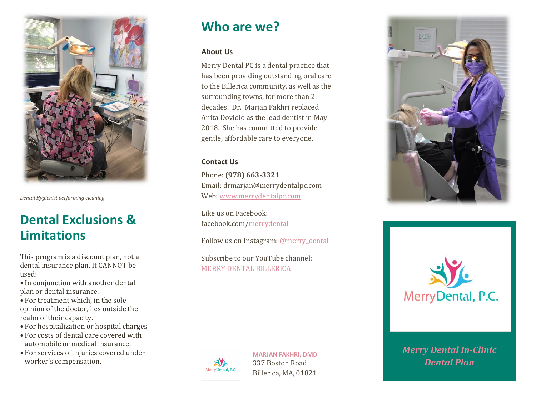

*Dental Hygienist performing cleaning*

# **Dental Exclusions & Limitations**

This program is a discount plan, not a dental insurance plan. It CANNOT be used:

- In conjunction with another dental plan or dental insurance.
- For treatment which, in the sole opinion of the doctor, lies outside the realm of their capacity.
- For hospitalization or hospital charges
- For costs of dental care covered with automobile or medical insurance.
- For services of injuries covered under worker's compensation.

### **Who are we?**

#### **About Us**

Merry Dental PC is a dental practice that has been providing outstanding oral care to the Billerica community, as well as the surrounding towns, for more than 2 decades. Dr. Marjan Fakhri replaced Anita Dovidio as the lead dentist in May 2018. She has committed to provide gentle, affordable care to everyone.

### **Contact Us**

Phone: **(978) 663-3321** Email: drmarjan@merrydentalpc.com Web[: www.merrydentalpc.com](http://www.merrydentalpc.com/)

Like us on Facebook: facebook.com/merrydental

Follow us on Instagram: @merry\_dental

Subscribe to our YouTube channel: MERRY DENTAL BILLERICA



**MARJAN FAKHRI, DMD** 337 Boston Road Billerica, MA, 01821





*Merry Dental In-Clinic*<br>*Dantal Plan* **Facharity** *Facharity FAM Dental Plan*